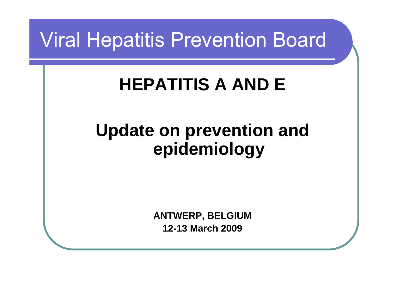## Viral Hepatitis Prevention Board

## **HEPATITIS A AND E**

#### **Update on prevention and epidemiology**

**ANTWERP, BELGIUM 12-13 March 2009**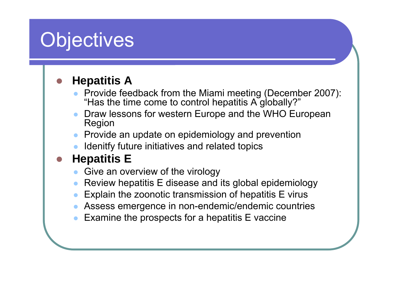# **Objectives**

#### O **Hepatitis A**

- $\bullet$  Provide feedback from the Miami meeting (December 2007): "Has the time come to control hepatitis A globally?"
- $\bullet$  Draw lessons for western Europe and the WHO European Region
- $\bullet$  Provide an update on epidemiology and prevention
- $\bullet$ Idenitfy future initiatives and related topics

#### $\bullet$ **Hepatitis E**

- $\bullet$ Give an overview of the virology
- $\bullet$ Review hepatitis E disease and its global epidemiology
- $\bullet$ Explain the zoonotic transmission of hepatitis E virus
- $\bullet$ Assess emergence in non-endemic/endemic countries
- $\bullet$ Examine the prospects for a hepatitis E vaccine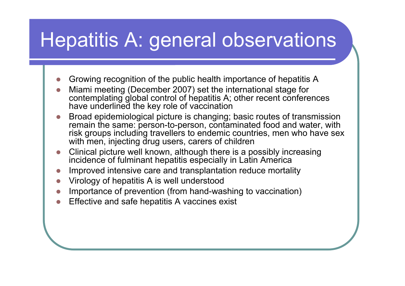# Hepatitis A: general observations

- zGrowing recognition of the public health importance of hepatitis A
- z Miami meeting (December 2007) set the international stage for contemplating global control of hepatitis A; other recent conferences have underlined the key role of vaccination
- z Broad epidemiological picture is changing; basic routes of transmission remain the same: person-to-person, contaminated food and water, with risk groups including travellers to endemic countries, men who have sex with men, injecting drug users, carers of children
- z Clinical picture well known, although there is a possibly increasing incidence of fulminant hepatitis especially in Latin America
- zImproved intensive care and transplantation reduce mortality
- zVirology of hepatitis A is well understood
- **z** Importance of prevention (from hand-washing to vaccination)
- zEffective and safe hepatitis A vaccines exist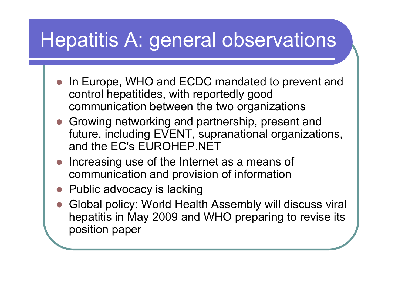# Hepatitis A: general observations

- In Europe, WHO and ECDC mandated to prevent and control hepatitides, with reportedly good communication between the two organizations
- Growing networking and partnership, present and future, including EVENT, supranational organizations, and the EC's EUROHEP.NET
- $\bigcirc$  Increasing use of the Internet as a means of communication and provision of information
- $\bullet$  Public advocacy is lacking
- $\bullet$  Global policy: World Health Assembly will discuss viral hepatitis in May 2009 and WHO preparing to revise its position paper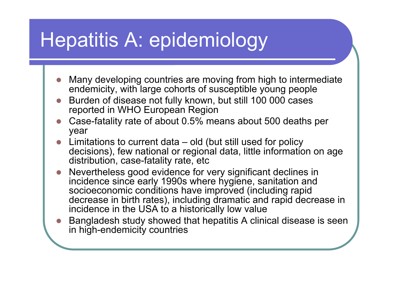- **z**  Many developing countries are moving from high to intermediate endemicity, with large cohorts of susceptible young people
- z Burden of disease not fully known, but still 100 000 cases reported in WHO European Region
- **z**  Case-fatality rate of about 0.5% means about 500 deaths per year
- z Limitations to current data – old (but still used for policy decisions), few national or regional data, little information on age distribution, case-fatality rate, etc
- **z**  Nevertheless good evidence for very significant declines in incidence since early 1990s where hygiene, sanitation and socioeconomic conditions have improved (including rapid decrease in birth rates), including dramatic and rapid decrease in incidence in the USA to a historically low value
- z Bangladesh study showed that hepatitis A clinical disease is seen in high-endemicity countries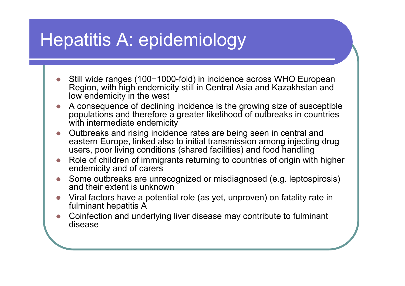- z● Still wide ranges (100-1000-fold) in incidence across WHO European Region, with high endemicity still in Central Asia and Kazakhstan and low endemicity in the west
- z A consequence of declining incidence is the growing size of susceptible populations and therefore a greater likelihood of outbreaks in countries with intermediate endemicity
- z Outbreaks and rising incidence rates are being seen in central and eastern Europe, linked also to initial transmission among injecting drug users, poor living conditions (shared facilities) and food handling
- **z**  Role of children of immigrants returning to countries of origin with higher endemicity and of carers
- z Some outbreaks are unrecognized or misdiagnosed (e.g. leptospirosis) and their extent is unknown
- z Viral factors have a potential role (as yet, unproven) on fatality rate in fulminant hepatitis A
- z Coinfection and underlying liver disease may contribute to fulminant disease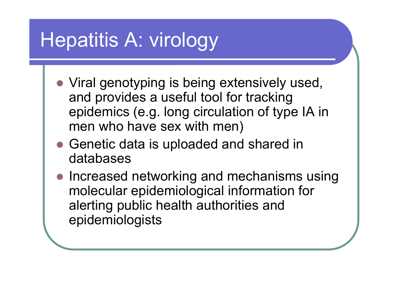# Hepatitis A: virology

- Viral genotyping is being extensively used, and provides a useful tool for tracking epidemics (e.g. long circulation of type IA in men who have sex with men)
- Genetic data is uploaded and shared in databases
- Increased networking and mechanisms using molecular epidemiological information for alerting public health authorities and epidemiologists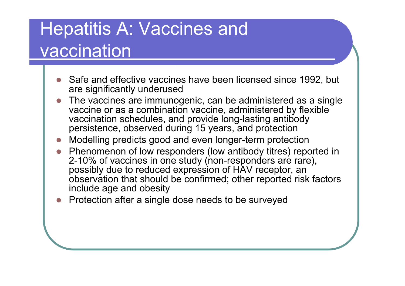## Hepatitis A: Vaccines and vaccination

- **z**  Safe and effective vaccines have been licensed since 1992, but are significantly underused
- z The vaccines are immunogenic, can be administered as a single vaccine or as a combination vaccine, administered by flexible vaccination schedules, and provide long-lasting antibody persistence, observed during 15 years, and protection
- Modelling predicts good and even longer-term protection
- z Phenomenon of low responders (low antibody titres) reported in 2-10% of vaccines in one study (non-responders are rare), possibly due to reduced expression of HAV receptor, an observation that should be confirmed; other reported risk factors include age and obesity
- **z** Protection after a single dose needs to be surveyed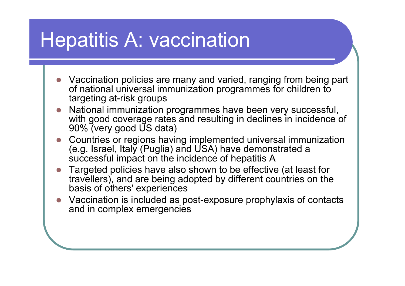## Hepatitis A: vaccination

- **z**  Vaccination policies are many and varied, ranging from being part of national universal immunization programmes for children to targeting at-risk groups
- **z**  National immunization programmes have been very successful, with good coverage rates and resulting in declines in incidence of 90% (very good US data)
- z Countries or regions having implemented universal immunization (e.g. Israel, Italy (Puglia) and USA) have demonstrated a successful impact on the incidence of hepatitis A
- **z**  Targeted policies have also shown to be effective (at least for travellers), and are being adopted by different countries on the basis of others' experiences
- **z**  Vaccination is included as post-exposure prophylaxis of contacts and in complex emergencies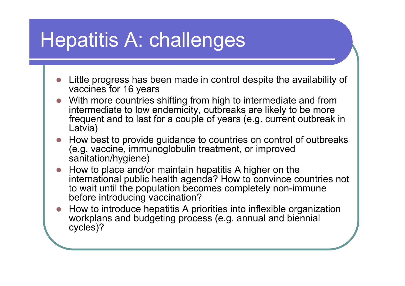# Hepatitis A: challenges

- **z**  Little progress has been made in control despite the availability of vaccines for 16 years
- z With more countries shifting from high to intermediate and from intermediate to low endemicity, outbreaks are likely to be more frequent and to last for a couple of years (e.g. current outbreak in Latvia)
- z How best to provide guidance to countries on control of outbreaks (e.g. vaccine, immunoglobulin treatment, or improved sanitation/hygiene)
- **z**  How to place and/or maintain hepatitis A higher on the international public health agenda? How to convince countries not to wait until the population becomes completely non-immune before introducing vaccination?
- z How to introduce hepatitis A priorities into inflexible organization workplans and budgeting process (e.g. annual and biennial cycles)?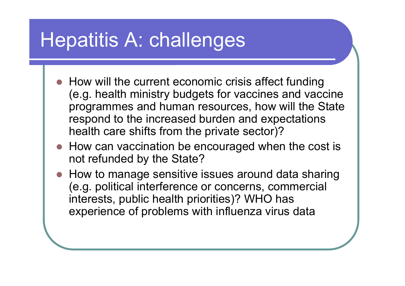# Hepatitis A: challenges

- How will the current economic crisis affect funding (e.g. health ministry budgets for vaccines and vaccine programmes and human resources, how will the State respond to the increased burden and expectations health care shifts from the private sector)?
- How can vaccination be encouraged when the cost is not refunded by the State?
- How to manage sensitive issues around data sharing (e.g. political interference or concerns, commercial interests, public health priorities)? WHO has experience of problems with influenza virus data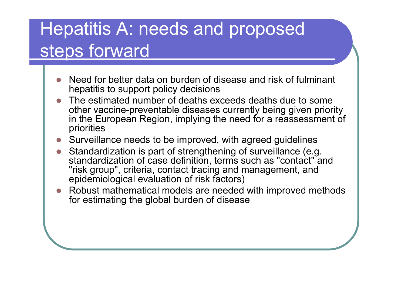### Hepatitis A: needs and proposed steps forward

- **z**  Need for better data on burden of disease and risk of fulminant hepatitis to support policy decisions
- z The estimated number of deaths exceeds deaths due to some other vaccine-preventable diseases currently being given priority in the European Region, implying the need for a reassessment of priorities
- Surveillance needs to be improved, with agreed guidelines
- z Standardization is part of strengthening of surveillance (e.g. standardization of case definition, terms such as "contact" and "risk group", criteria, contact tracing and management, and epidemiological evaluation of risk factors)
- z Robust mathematical models are needed with improved methods for estimating the global burden of disease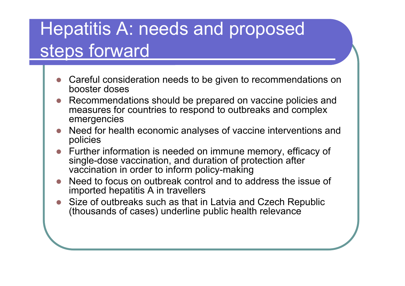### Hepatitis A: needs and proposed steps forward

- **z**  Careful consideration needs to be given to recommendations on booster doses
- z Recommendations should be prepared on vaccine policies and measures for countries to respond to outbreaks and complex emergencies
- z Need for health economic analyses of vaccine interventions and policies
- z Further information is needed on immune memory, efficacy of single-dose vaccination, and duration of protection after vaccination in order to inform policy-making
- **z**  Need to focus on outbreak control and to address the issue of imported hepatitis A in travellers
- z Size of outbreaks such as that in Latvia and Czech Republic (thousands of cases) underline public health relevance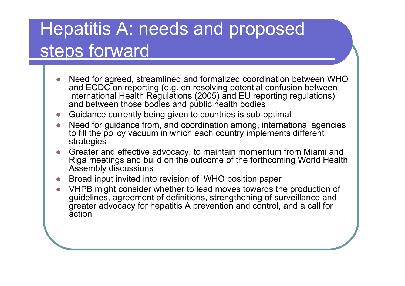### Hepatitis A: needs and proposed steps forward

- z Need for agreed, streamlined and formalized coordination between WHO and ECDC on reporting (e.g. on resolving potential confusion between International Health Regulations (2005) and EU reporting regulations) and between those bodies and public health bodies
- zGuidance currently being given to countries is sub-optimal
- z Need for guidance from, and coordination among, international agencies to fill the policy vacuum in which each country implements different strategies
- z Greater and effective advocacy, to maintain momentum from Miami and Riga meetings and build on the outcome of the forthcoming World Health Assembly discussions
- zBroad input invited into revision of WHO position paper
- z VHPB might consider whether to lead moves towards the production of guidelines, agreement of definitions, strengthening of surveillance and greater advocacy for hepatitis A prevention and control, and a call for action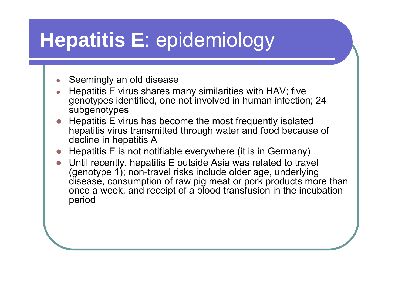#### ●Seemingly an old disease

- ● Hepatitis E virus shares many similarities with HAV; five genotypes identified, one not involved in human infection; 24 subgenotypes
- **z**  Hepatitis E virus has become the most frequently isolated hepatitis virus transmitted through water and food because of decline in hepatitis A
- zHepatitis E is not notifiable everywhere (it is in Germany)
- z Until recently, hepatitis E outside Asia was related to travel (genotype 1); non-travel risks include older age, underlying disease, consumption of raw pig meat or pork products more than once a week, and receipt of a blood transfusion in the incubation period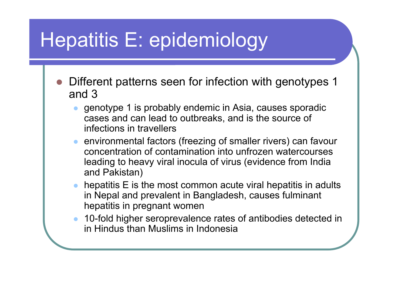- O Different patterns seen for infection with genotypes 1 and 3
	- $\bullet$  genotype 1 is probably endemic in Asia, causes sporadic cases and can lead to outbreaks, and is the source of infections in travellers
	- $\bullet$  environmental factors (freezing of smaller rivers) can favour concentration of contamination into unfrozen watercourses leading to heavy viral inocula of virus (evidence from India and Pakistan)
	- $\bullet$ hepatitis E is the most common acute viral hepatitis in adults in Nepal and prevalent in Bangladesh, causes fulminant hepatitis in pregnant women
	- $\bullet$  10-fold higher seroprevalence rates of antibodies detected in in Hindus than Muslims in Indonesia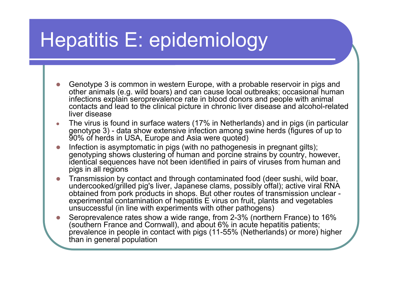- z Genotype 3 is common in western Europe, with a probable reservoir in pigs and other animals (e.g. wild boars) and can cause local outbreaks; occasional human infections explain seroprevalence rate in blood donors and people with animal contacts and lead to the clinical picture in chronic liver disease and alcohol-related liver disease
- ● The virus is found in surface waters (17% in Netherlands) and in pigs (in particular genotype 3) - data show extensive infection among swine herds (figures of up to 90% of herds in USA, Europe and Asia were quoted)
- **z**  Infection is asymptomatic in pigs (with no pathogenesis in pregnant gilts); genotyping shows clustering of human and porcine strains by country, however, identical sequences have not been identified in pairs of viruses from human and pigs in all regions
- z Transmission by contact and through contaminated food (deer sushi, wild boar, undercooked/grilled pig's liver, Japanese clams, possibly offal); active viral RNA obtained from pork products in shops. But other routes of transmission unclear experimental contamination of hepatitis E virus on fruit, plants and vegetables unsuccessful (in line with experiments with other pathogens)
- z Seroprevalence rates show a wide range, from 2-3% (northern France) to 16% (southern France and Cornwall), and about 6% in acute hepatitis patients; prevalence in people in contact with pigs (11-55% (Netherlands) or more) higher than in general population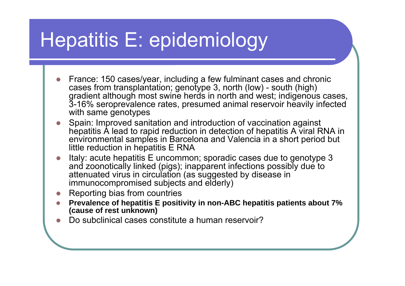- z France: 150 cases/year, including a few fulminant cases and chronic cases from transplantation; genotype 3, north (low) - south (high) gradient although most swine herds in north and west; indigenous cases, 3-16% seroprevalence rates, presumed animal reservoir heavily infected with same genotypes
- z Spain: Improved sanitation and introduction of vaccination against hepatitis A lead to rapid reduction in detection of hepatitis A viral RNA in environmental samples in Barcelona and Valencia in a short period but little reduction in hepatitis E RNA
- z Italy: acute hepatitis E uncommon; sporadic cases due to genotype 3 and zoonotically linked (pigs); inapparent infections possibly due to attenuated virus in circulation (as suggested by disease in immunocompromised subjects and elderly)
- **z** Reporting bias from countries
- z **Prevalence of hepatitis E positivity in non-ABC hepatitis patients about 7% (cause of rest unknown)**
- zDo subclinical cases constitute a human reservoir?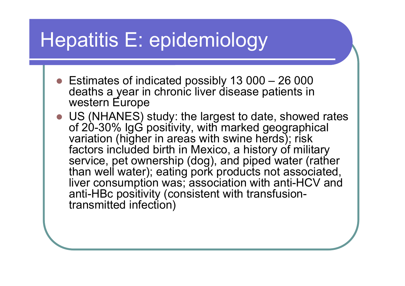- $\bullet$  Estimates of indicated possibly 13 000 26 000 deaths a year in chronic liver disease patients in western Europe
- US (NHANES) study: the largest to date, showed rates of 20-30% IgG positivity, with marked geographical variation (higher in areas with swine herds); risk factors included birth in Mexico, a history of military service, pet ownership (dog), and piped water (rather than well water); eating pork products not associated, liver consumption was; association with anti-HCV and anti-HBc positivity (consistent with transfusiontransmitted infection)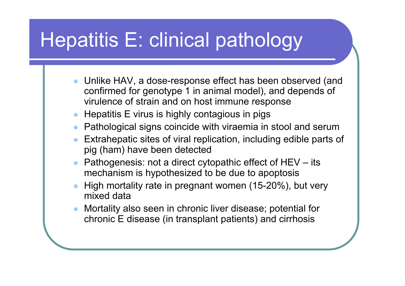# Hepatitis E: clinical pathology

- Unlike HAV, a dose-response effect has been observed (and confirmed for genotype 1 in animal model), and depends of virulence of strain and on host immune response
- $\bullet\;$  Hepatitis E virus is highly contagious in pigs
- $\bullet$ Pathological signs coincide with viraemia in stool and serum
- $\bullet$  Extrahepatic sites of viral replication, including edible parts of pig (ham) have been detected
- $\bullet$  Pathogenesis: not a direct cytopathic effect of HEV – its mechanism is hypothesized to be due to apoptosis
- $\bullet$  High mortality rate in pregnant women (15-20%), but very mixed data
- $\bullet$  Mortality also seen in chronic liver disease; potential for chronic E disease (in transplant patients) and cirrhosis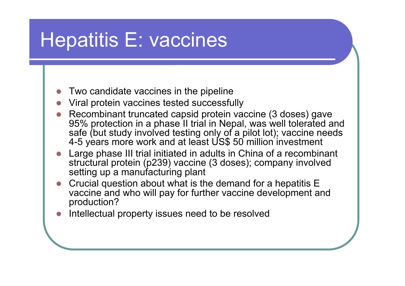## Hepatitis E: vaccines

- **z** Two candidate vaccines in the pipeline
- **z** Viral protein vaccines tested successfully
- **z**  Recombinant truncated capsid protein vaccine (3 doses) gave 95% protection in a phase II trial in Nepal, was well tolerated and safe (but study involved testing only of a pilot lot); vaccine needs 4-5 years more work and at least US\$ 50 million investment
- z Large phase III trial initiated in adults in China of a recombinant structural protein (p239) vaccine (3 doses); company involved setting up a manufacturing plant
- **z**  Crucial question about what is the demand for a hepatitis E vaccine and who will pay for further vaccine development and production?
- zIntellectual property issues need to be resolved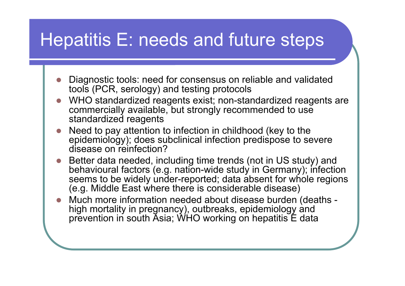### Hepatitis E: needs and future steps

- **z**  Diagnostic tools: need for consensus on reliable and validated tools (PCR, serology) and testing protocols
- z WHO standardized reagents exist; non-standardized reagents are commercially available, but strongly recommended to use standardized reagents
- z Need to pay attention to infection in childhood (key to the epidemiology); does subclinical infection predispose to severe disease on reinfection?
- **z**  Better data needed, including time trends (not in US study) and behavioural factors (e.g. nation-wide study in Germany); infection seems to be widely under-reported; data absent for whole regions (e.g. Middle East where there is considerable disease)
- **z**  Much more information needed about disease burden (deaths high mortality in pregnancy), outbreaks, epidemiology and prevention in south Asia; WHO working on hepatitis E data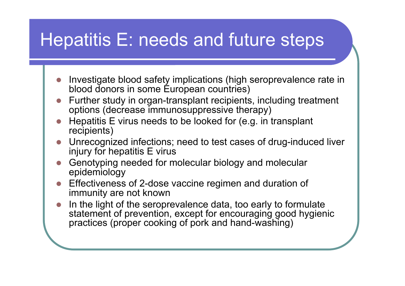### Hepatitis E: needs and future steps

- **z**  Investigate blood safety implications (high seroprevalence rate in blood donors in some Éuropean countries)
- z Further study in organ-transplant recipients, including treatment options (decrease immunosuppressive therapy)
- **z**  Hepatitis E virus needs to be looked for (e.g. in transplant recipients)
- z Unrecognized infections; need to test cases of drug-induced liver injury for hepatitis E virus
- z Genotyping needed for molecular biology and molecular epidemiology
- **z**  Effectiveness of 2-dose vaccine regimen and duration of immunity are not known
- **z**  In the light of the seroprevalence data, too early to formulate statement of prevention, except for encouraging good hygienic practices (proper cooking of pork and hand-washing)